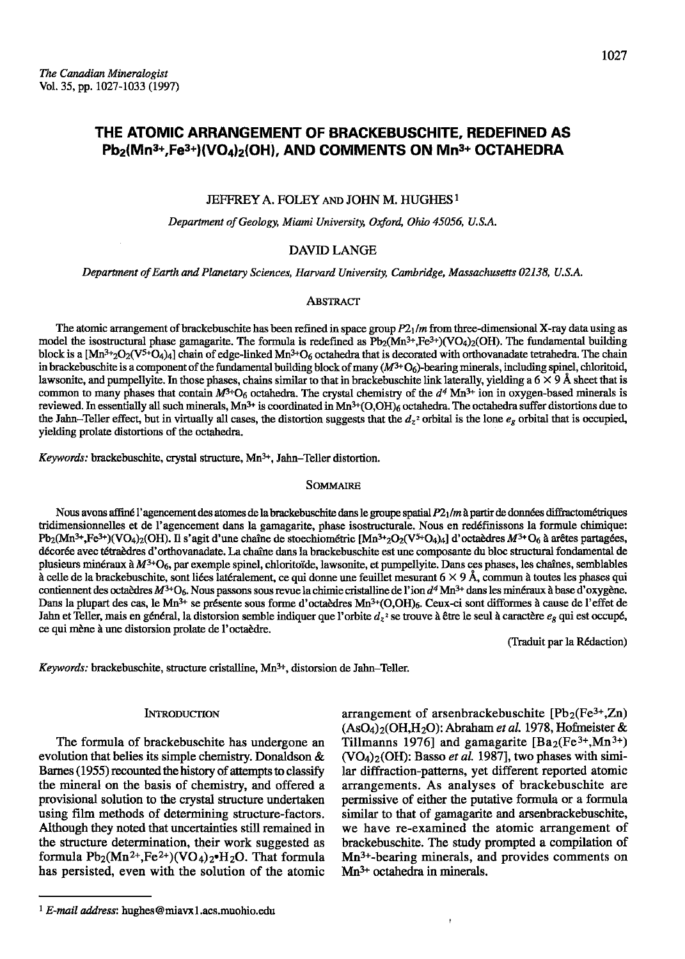# THE ATOMIC ARRANGEMENT OF BRACKEBUSCHITE, REDEFINED AS Pb<sub>2</sub>(Mn<sup>3+</sup>,Fe<sup>3+</sup>)(VO<sub>4</sub>)<sub>2</sub>(OH), AND COMMENTS ON Mn<sup>3+</sup> OCTAHEDRA

# JEFFREY A. FOLEY AND JOHN M. HUGHES<sup>1</sup>

Department of Geology, Miami University, Oxford, Ohio 45056, U.S.A.

# **DAVID LANGE**

Department of Earth and Planetary Sciences, Harvard University, Cambridge, Massachusetts 02138, U.S.A.

## **ABSTRACT**

The atomic arrangement of brackebuschite has been refined in space group  $P2<sub>1</sub>/m$  from three-dimensional X-ray data using as model the isostructural phase gamagarite. The formula is redefined as  $Pb_2(Mn^{3+},Fe^{3+})(VO_4)_2(OH)$ . The fundamental building block is a  $[Mn^{3+2}O_2(V^{5+}O_4)$  chain of edge-linked  $Mn^{3+}O_6$  octahedra that is decorated with orthovanadate tetrahedra. The chain in brackebuschite is a component of the fundamental building block of many  $(M^{3+}O_6)$ -bearing minerals, including spinel, chloritoid, lawsonite, and pumpelly ite. In those phases, chains similar to that in brackebuschite link laterally, yielding a  $6 \times 9$  Å sheet that is common to many phases that contain  $M^{3+}O_6$  octahedra. The crystal chemistry of the  $d^4$  Mn<sup>3+</sup> ion in oxygen-based minerals is reviewed. In essentially all such minerals,  $Mn^{3+}$  is coordinated in  $Mn^{3+}(O,OH)_6$  octahedra. The octahedra suffer distortions due to the Jahn–Teller effect, but in virtually all cases, the distortion suggests that the  $d_z$ <sup>2</sup> orbital is the lone  $e_z$  orbital that is occupied, yielding prolate distortions of the octahedra.

Keywords: brackebuschite, crystal structure, Mn<sup>3+</sup>, Jahn-Teller distortion.

#### **SOMMAIRE**

Nous avons affiné l'agencement des atomes de la brackebuschite dans le groupe spatial P21/m à partir de données diffractométriques tridimensionnelles et de l'agencement dans la gamagarite, phase isostructurale. Nous en redéfinissons la formule chimique: Pb<sub>2</sub>(Mn<sup>3+</sup>,Fe<sup>3+</sup>)(VO<sub>4</sub>)<sub>2</sub>(OH). Il s'agit d'une chaîne de stoechiométrie [Mn<sup>3+</sup><sub>2</sub>O<sub>2</sub>(V<sup>5+</sup>O<sub>4</sub>)<sub>4</sub>] d'octaèdres  $M$ <sup>3+</sup>O<sub>6</sub> à arêtes partagées, décorée avec tétraèdres d'orthovanadate. La chaîne dans la brackebuschite est une composante du bloc structural fondamental de plusieurs minéraux à  $M^{3+}O_6$ , par exemple spinel, chloritoïde, lawsonite, et pumpellyite. Dans ces phases, les chaînes, semblables à celle de la brackebuschite, sont liées latéralement, ce qui donne une feuillet mesurant  $6 \times 9$  Å, commun à toutes les phases qui contiennent des octaèdres M<sup>3+</sup>O<sub>6</sub>. Nous passons sous revue la chimie cristalline de l'ion d<sup>4</sup> Mn<sup>3+</sup> dans les minéraux à base d'oxygène. Dans la plupart des cas, le Mn<sup>3+</sup> se présente sous forme d'octaèdres Mn<sup>3+</sup>(O,OH)<sub>6</sub>. Ceux-ci sont difformes à cause de l'effet de Jahn et Teller, mais en général, la distorsion semble indiquer que l'orbite  $d_7$ <sup>2</sup> se trouve à être le seul à caractère  $e_8$  qui est occupé, ce qui mène à une distorsion prolate de l'octaèdre.

(Traduit par la Rédaction)

Keywords: brackebuschite, structure cristalline, Mn<sup>3+</sup>, distorsion de Jahn-Teller.

## **INTRODUCTION**

The formula of brackebuschite has undergone an evolution that belies its simple chemistry. Donaldson & Barnes (1955) recounted the history of attempts to classify the mineral on the basis of chemistry, and offered a provisional solution to the crystal structure undertaken using film methods of determining structure-factors. Although they noted that uncertainties still remained in the structure determination, their work suggested as formula  $Pb_2(Mn^{2+},Fe^{2+})(VO_4)_2 H_2O$ . That formula has persisted, even with the solution of the atomic arrangement of arsenbrackebuschite [Pb<sub>2</sub>(Fe<sup>3+</sup>,Zn)  $(AsO<sub>4</sub>)<sub>2</sub>(OH,H<sub>2</sub>O)$ : Abraham *et al.* 1978, Hofmeister & Tillmanns 1976] and gamagarite  $\left[\text{Ba}_2(\text{Fe}^{3+},\text{Mn}^{3+})\right]$  $(VO<sub>4</sub>)<sub>2</sub>(OH)$ : Basso *et al.* 1987], two phases with similar diffraction-patterns, yet different reported atomic arrangements. As analyses of brackebuschite are permissive of either the putative formula or a formula similar to that of gamagarite and arsenbrackebuschite, we have re-examined the atomic arrangement of brackebuschite. The study prompted a compilation of  $Mn^{3+}$ -bearing minerals, and provides comments on  $Mn^{3+}$  octahedra in minerals.

<sup>&</sup>lt;sup>1</sup> E-mail address: hughes@miavx1.acs.muohio.edu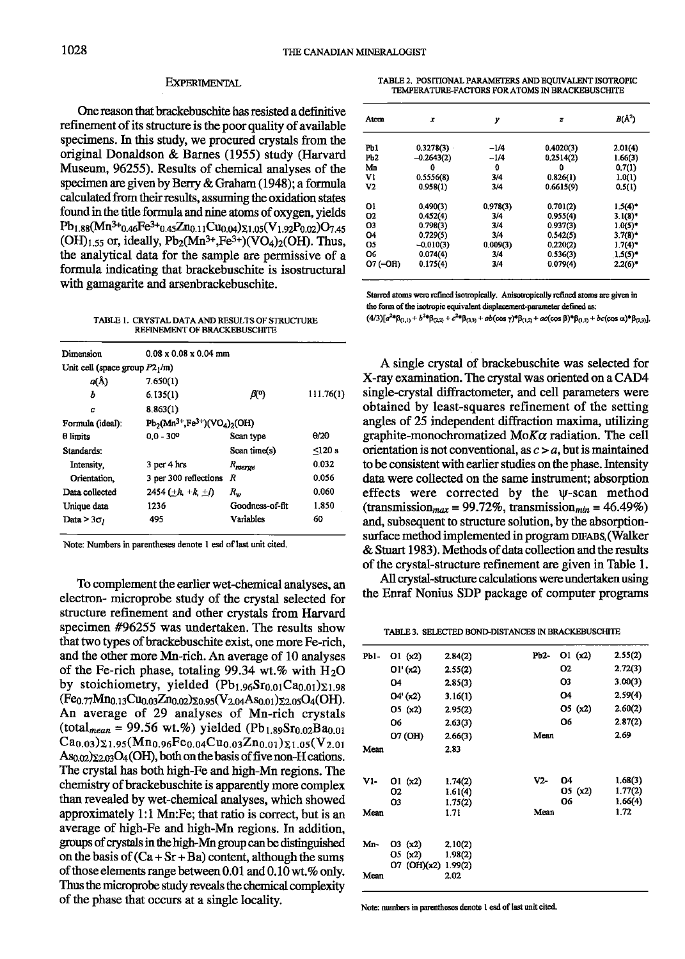#### **EXPERIMENTAL**

One reason that brackebuschite has resisted a definitive refinement of its structure is the poor quality of available specimens. In this study, we procured crystals from the original Donaldson & Barnes (1955) study (Harvard Museum, 96255). Results of chemical analyses of the specimen are given by Berry & Graham (1948); a formula calculated from their results, assuming the oxidation states found in the title formula and nine atoms of oxygen, yields  $Pb_{1.88}(Mn^{3+}0.46Fe^{3+}0.45Zn_{0.11}Cu_{0.04})\Sigma_{1.05}(V_{1.92}P_{0.02})O_{7.45}$  $(OH)_{1.55}$  or, ideally,  $Pb_2(Mn^{3+},Fe^{3+})(VO_4)_2(OH)$ . Thus, the analytical data for the sample are permissive of a formula indicating that brackebuschite is isostructural with gamagarite and arsenbrackebuschite.

TABLE 1. CRYSTAL DATA AND RESULTS OF STRUCTURE REFINEMENT OF BRACKEBUSCHITE

| Dimension                        | $0.08 \times 0.08 \times 0.04$ mm   |                    |              |  |
|----------------------------------|-------------------------------------|--------------------|--------------|--|
| Unit cell (space group $P21/m$ ) |                                     |                    |              |  |
| a(Å)                             | 7.650(1)                            |                    |              |  |
| Ь                                | 6.135(1)                            | AO)                |              |  |
| c                                | 8.863(1)                            |                    |              |  |
| Formula (ideal):                 | $Pb_2(Mn^{3+},Fe^{3+})(VO_4)_2(OH)$ |                    |              |  |
| θ limits                         | $0.0 - 30^{\circ}$                  | Scan type          | $\theta$ /20 |  |
| Standards:                       |                                     | Scan time(s)       | < 120 s      |  |
| Intensity.                       | 3 per 4 hrs                         | R <sub>merge</sub> | 0.032        |  |
| Orientation.                     | 3 per 300 reflections               | R                  | 0.056        |  |
| Data collected                   | 2454 $(\pm h, +k, \pm l)$           | $R_{w}$            | 0.060        |  |
| Unique data                      | 1236                                | Goodness-of-fit    | 1.850        |  |
| Data $>$ 3 $\sigma$              | 495                                 | Variables          | 60           |  |
|                                  |                                     |                    |              |  |

Note: Numbers in parentheses denote 1 esd of last unit cited.

To complement the earlier wet-chemical analyses, an electron- microprobe study of the crystal selected for structure refinement and other crystals from Harvard specimen #96255 was undertaken. The results show that two types of brackebuschite exist, one more Fe-rich, and the other more Mn-rich. An average of 10 analyses of the Fe-rich phase, totaling 99.34 wt.% with  $H_2O$ by stoichiometry, yielded  $(Pb_{1.96}Sr_{0.01}Ca_{0.01})\Sigma_{1.98}$  $(Fe_{0.77}Mn_{0.13}Cu_{0.03}Zn_{0.02})\Sigma_{0.95}(V_{2.04}As_{0.01})\Sigma_{2.05}O_4(OH).$ An average of 29 analyses of Mn-rich crystals (total<sub>mean</sub> = 99.56 wt.%) yielded (Pb<sub>1.89</sub>Sr<sub>0.02</sub>Ba<sub>0.01</sub>)  $Ca<sub>0.03</sub>$ )  $\Sigma<sub>1.95</sub>(Mn<sub>0.96</sub>Fe<sub>0.04</sub>Cu<sub>0.03</sub>Zn<sub>0.01</sub>) $\Sigma<sub>1.05</sub>(V<sub>2.01</sub>)$$ As<sub>0.02</sub>) $\Sigma$ <sub>2.03</sub>O<sub>4</sub>(OH), both on the basis of five non-H cations. The crystal has both high-Fe and high-Mn regions. The chemistry of brackebuschite is apparently more complex than revealed by wet-chemical analyses, which showed approximately 1:1 Mn: Fe; that ratio is correct, but is an average of high-Fe and high-Mn regions. In addition, groups of crystals in the high-Mn group can be distinguished on the basis of  $(Ca + Sr + Ba)$  content, although the sums of those elements range between 0.01 and 0.10 wt.% only. Thus the microprobe study reveals the chemical complexity of the phase that occurs at a single locality.

TABLE 2. POSITIONAL PARAMETERS AND EQUIVALENT ISOTROPIC TEMPERATURE-FACTORS FOR ATOMS IN BRACKEBUSCHITE

| Atom            | x            | у        | z         | $B(\AA^2)$            |
|-----------------|--------------|----------|-----------|-----------------------|
| Pb1             | 0.3278(3)    | $-1/4$   | 0.4020(3) | 2.01(4)               |
| Pb <sub>2</sub> | $-0.2643(2)$ | $-1/4$   | 0.2514(2) | 1.66(3)               |
| Mn              | 0            | 0        | 0         | 0.7(1)                |
| Vı              | 0.5556(8)    | 3/4      | 0.826(1)  | 1.0(1)                |
| V2              | 0.958(1)     | 3/4      | 0.6615(9) | 0.5(1)                |
| O1              | 0.490(3)     | 0.978(3) | 0.701(2)  | $1.5(4)^{*}$          |
| <b>O2</b>       | 0.452(4)     | 3/4      | 0.955(4)  | $3.1(8)^*$            |
| O3              | 0.798(3)     | 3/4      | 0.937(3)  | $1.0(5)^*$            |
| O <sub>4</sub>  | 0.729(5)     | 3/4      | 0.542(5)  | $3.7(8)$ <sup>*</sup> |
| Q5              | $-0.010(3)$  | 0.009(3) | 0.220(2)  | $1.7(4)$ <sup>*</sup> |
| O6              | 0.074(4)     | 3/4      | 0.536(3)  | $1.5(5)^*$            |
| $O7 (=$ OH)     | 0.175(4)     | 3/4      | 0.079(4)  | $2.2(6)$ *            |

Starred atoms were refined isotropically. Anisotropically refined atoms are given in the form of the isotropic equivalent displacement-parameter defined as:  $(4/3)[a^{2*}\beta_{(1,1)} + b^{2*}\beta_{(2,2)} + c^{2*}\beta_{(3,3)} + ab(\cos\gamma)^*\beta_{(1,2)} + ac(\cos\beta)^*\beta_{(1,3)} + bc(\cos\alpha)^*\beta_{(2,3)}].$ 

A single crystal of brackebuschite was selected for X-ray examination. The crystal was oriented on a CAD4 single-crystal diffractometer, and cell parameters were obtained by least-squares refinement of the setting angles of 25 independent diffraction maxima, utilizing graphite-monochromatized  $M \circ K \alpha$  radiation. The cell orientation is not conventional, as  $c > a$ , but is maintained to be consistent with earlier studies on the phase. Intensity data were collected on the same instrument; absorption effects were corrected by the w-scan method (transmission<sub>max</sub> = 99.72%, transmission<sub>min</sub> = 46.49%) and, subsequent to structure solution, by the absorptionsurface method implemented in program DIFABS (Walker & Stuart 1983). Methods of data collection and the results of the crystal-structure refinement are given in Table 1.

All crystal-structure calculations were undertaken using the Enraf Nonius SDP package of computer programs

TABLE 3. SELECTED BOND-DISTANCES IN BRACKEBUSCHITE

| Pb1- | O1(x2)      | 2.84(2) | Рb2- | Q1(x2)  | 2.55(2) |
|------|-------------|---------|------|---------|---------|
|      | O1' (x2)    | 2.55(2) |      | Ο2      | 2.72(3) |
|      | 04          | 2.85(3) |      | O3      | 3.00(3) |
|      | 04' (x2)    | 3.16(1) |      | 04      | 2.59(4) |
|      | O5(x2)      | 2.95(2) |      | O5(x2)  | 2.60(2) |
|      | O6          | 2.63(3) |      | O6      | 2.87(2) |
|      | 07 (OH)     | 2.66(3) | Mean |         | 2.69    |
| Mean |             | 2.83    |      |         |         |
| V1-  | O1 (x2)     | 1.74(2) | V2-  | 04      | 1.68(3) |
|      | 02          | 1.61(4) |      | O5 (x2) | 1.77(2) |
|      | О3          | 1,75(2) |      | Ο6      | 1.66(4) |
| Mean |             | 1.71    | Mean |         | 1.72    |
| Mn-  | O3(x2)      | 2.10(2) |      |         |         |
|      | O5(x2)      | 1.98(2) |      |         |         |
|      | 07 (OH)(x2) | 1.99(2) |      |         |         |
| Mean |             | 2.02    |      |         |         |

Note: numbers in parentheses denote 1 esd of last unit cited.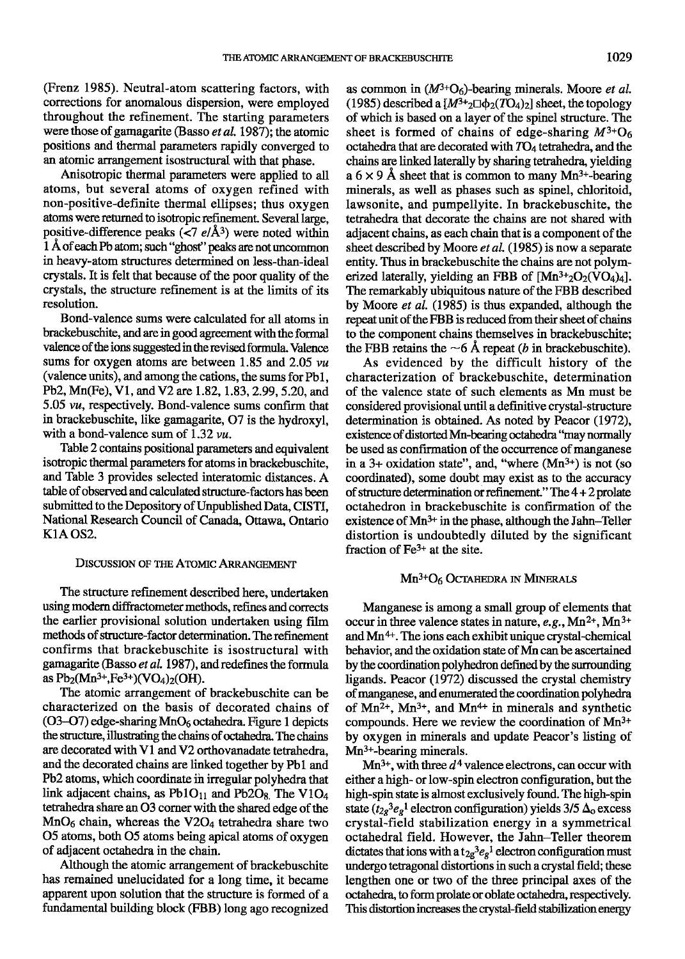(Frenz 1985). Neutral-atom scattering factors, with corrections for anomalous dispersion, were employed tbroughout the refinement. The starting parameters were those of gamagarite (Basso  $et$  al. 1987); the atomic positions and thermal parameters rapidly converged to an atomic arrangement isostructural with that phase.

Anisotropic thermal parameters were applied to all atoms, but several atoms of oxygen refined with non-positive-definite thermal ellipses; thus oxygen atoms were returned to isotropic refinement. Several large, positive-difference peaks ( $\langle 7 \frac{e}{\hat{A}^3} \rangle$  were noted within 1 Å of each Pb atom; such "ghost" peaks are not uncommon in heavy-atom sfructures determined on less-than-ideal crystals. It is felt that because of the poor quality of the crystals, the structure refinement is at the limits of its resolution.

Bond-valence sums were calculated for all atoms in brackebuschite, and are in good agreement with the formal valence of the ions suggested in the revised formula. Valence sums for oxygen atoms are between 1.85 and 2.05  $vu$ (valence units), and among the cations, the sums for Pb1, Pb2, Mn(Fe), V1, and V2 are 1.82, 1.83, 2.99, 5.20, and  $5.05 \, \nu u$ , respectively. Bond-valence sums confirm that in brackebuschite, like gamagarite, 07 is the hydroxyl, with a bond-valence sum of 1.32  $vu$ .

Table 2 conrains positional parameters and equivalent isotropic thermal parameters for atoms in brackebuschite, and Table 3 provides selected interatomic distances. A table of observed and calculated structure-factors has been submitted to the Depository of Unpublished Data, CISTI, National Research Council of Canada, Ottawa, Ontario K<sub>1</sub>A OS<sub>2</sub>.

## DISCUSSION OF THE ATOMIC ARRANGEMENT

The structure refinement described here, undertaken using modern diffractometer methods, refines and corrects the earlier provisional solution undertaken using fiIm methods of structure-factor determination. The refinement confirms that brackebuschite is isostructural with gamagarite (Basso et al. 1987), and redefines the formula as  $Pb_2(Mn^{3+},Fe^{3+})(VO_4)_2(OH)$ .

The atomic arrangement of brackebuschite can be characterized on the basis of decorated chains of  $(O3-O7)$  edge-sharing MnO<sub>6</sub> octahedra. Figure 1 depicts the structure, illustrating the chains of octahedra. The chains are decorated with V1 and V2 orthovanadate tetrahedra, and the decorated chains are linked together by Pbl and Pb2 atoms, which coordinate in irregular polyhedra that link adjacent chains, as  $Pb1O_{11}$  and  $Pb2O_8$ . The V1O<sub>4</sub> tetrahedra share an 03 corner with the shared edge of the  $MnO<sub>6</sub>$  chain, whereas the V2O<sub>4</sub> tetrahedra share two 05 atoms, both 05 atoms being apical atoms of oxygen of adjacent octahedra in the chain.

Although the atomic arrangement of brackebuschite has remained unelucidated for a long time, it became apparent upon solution that the structure is formed of a fundamental building block (FBB) long ago recognized

as common in  $(M^{3+}O_6)$ -bearing minerals. Moore *et al.* (1985) described a  $[M^{3+}_2\Box\phi_2(TO_4)_2]$  sheet, the topology of which is based on a layer of the spinel structure. The sheet is formed of chains of edge-sharing  $M^{3+}O_6$ octahedra that are decorated with  $TO<sub>4</sub>$  tetrahedra, and the chains are linked laterally by sharing tetrahedra, yielding a  $6 \times 9$  Å sheet that is common to many Mn<sup>3+</sup>-bearing minerals, as well as phases such as spinel, chloritoid, lawsonite, and pumpellyite. In brackebuschite, the tetrahedra that decorate the chains are not shared with adjacent chains, as each chain that is a component of the sheet described by Moore et al. (1985) is now a separate entity. Thus in brackebuschite the chains are not polymerized laterally, yielding an FBB of  $[Mn^{3+}2O_2(VO_4)_4]$ . The remarkably ubiquitous nature of the FBB described by Moore et al.  $(1985)$  is thus expanded, although the repeat unit of the FBB is reduced from their sheet of chains to the component chains themselves in brackebuschite; the FBB retains the  $\sim$ 6 Å repeat (b in brackebuschite).

As evidenced by the difficult history of the characterization of brackebuschite, determination of the valence state of such elements as Mn must be considered provisional until a definitive crystal-structure determination is obtained. As noted by Peacor (1972), existence of distorted Mn-bearing octahedra "may normally be used as confirmation of the occurrence of manganese in a 3+ oxidation state", and, "where  $(Mn^{3+})$  is not (so coordinated), some doubt may exist as to the nccuracy of structure determination or refinement." The  $4 + 2$  prolate octahedron in brackebuschite is confirmation of the existence of  $Mn^{3+}$  in the phase, although the Jahn-Teller distortion is undoubtedly diluted by the significant fraction of  $Fe<sup>3+</sup>$  at the site.

### $Mn^{3+}O_6$  Octahedra in Minerals

Manganese is among a small group of elements that occur in three valence states in nature,  $e.g., Mn<sup>2+</sup>, Mn<sup>3+</sup>$ and  $Mn^{4+}$ . The ions each exhibit unique crystal-chemical behavior, and the oxidation state of Mn can be ascertained by the coordination polyhedron defined by the surrounding ligands. Peacor (1972) discussed the crystal chemistry of manganese, and enumerated the coordination polyhedra of  $Mn^{2+}$ ,  $Mn^{3+}$ , and  $Mn^{4+}$  in minerals and synthetic compounds. Here we review the coordination of Mn3+ by oxygen in minerals and update Peacor's listing of Mn<sup>3+</sup>-bearing minerals.

 $Mn^{3+}$ , with three  $d^4$  valence electrons, can occur with either a high- or low-spin electron configuration, but the high-spin state is almost exclusively found. The high-spin state ( $t_{2g}$ <sup>3</sup> $e_g$ <sup>1</sup> electron configuration) yields 3/5  $\Delta_0$  excess crystal-field stabilization energy in a symmetrical octahedral field. However, the Jahn-Teller theorem dictates that ions with a  $t_{2g}^3$  e reduced configuration must undergo tetragonal distortions in such a crystal field; these lengthen one or two of the three principal axes of the octahedra, to form prolate or oblate octahedra, respectively. This distortion increases the crystal-field stabilization energy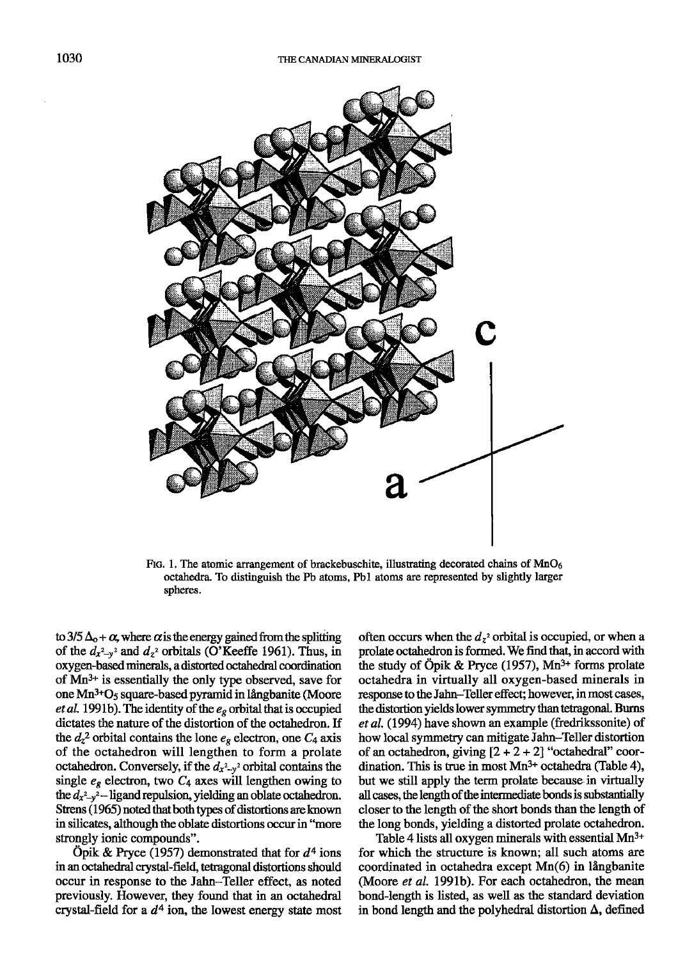

FIG. 1. The atomic arrangement of brackebuschite, illustrating decorated chains of  $MnO<sub>6</sub>$ octahedra. To distinguish the Pb atoms, Pbl atoms are represented by slightly larger spheres.

to 3/5  $\Delta$ <sub>o</sub> +  $\alpha$ , where  $\alpha$  is the energy gained from the splitting of the  $d_{x^2-y^2}$  and  $d_{z^2}$  orbitals (O'Keeffe 1961). Thus, in oxygen-based minerals, a distorted octahedral coordination of  $Mn^{3+}$  is essentially the only type observed, save for one Mn<sup>3+</sup>O<sub>5</sub> square-based pyramid in långbanite (Moore et al. 1991b). The identity of the  $e_g$  orbital that is occupied dictates the nature of the distortion of the octahedron. If the  $d_z^2$  orbital contains the lone  $e_g$  electron, one  $C_4$  axis of the octahedron will lengthen to form a prolate octahedron. Conversely, if the  $d_{x^2-y^2}$  orbital contains the single  $e<sub>g</sub>$  electron, two  $C<sub>4</sub>$  axes will lengthen owing to the  $d_{x^2-y^2}$  -ligand repulsion, yielding an oblate octahedron. Strens (1965) noted that both types of distortions are known in silicates, although the oblate distortions occur in "more strongly ionic compounds".

Opik & Pryce (1957) demonstrated that for  $d^4$  ions in an octahedral crystal-field, tetragonal distortions should occur in response to the Jahn–Teller effect, as noted previously. However, they found that in an octahedral crystal-field for a  $d<sup>4</sup>$  ion, the lowest energy state most

often occurs when the  $d_{z}$ <sup>2</sup> orbital is occupied, or when a prolate octahedron is formed. We find that, in accord with the study of Öpik & Pryce (1957),  $Mn^{3+}$  forms prolate octahedra in virtually all oxygen-based minerals in response to the Jahn-Teller effect; however, in most cases, the distortion yields lower symmetry than tetragonal. Burns et al. (1994) have shown an example (fredrikssonite) of how local symmetry can mitigate Jahn-Teller distortion of an octahedron, giving  $[2 + 2 + 2]$  "octahedral" coordination. This is true in most  $Mn^{3+}$  octahedra (Table 4), but we still apply the term prolate because in virtually all cases, the length of the intermediate bonds is substantially closer to the length of the short bonds than the length of the long bonds, yielding a distorted prolate octahedron.

Table 4 lists all oxygen minerals with essential  $Mn^{3+}$ for which the structure is known; all such atoms are  $coordinated$  in octahedra except  $Mn(6)$  in långbanite (Moore et al. 1991b). For each octahedron, the mean bond-length is listed, as well as the standard deviation in bond length and the polyhedral distortion  $\Delta$ , defined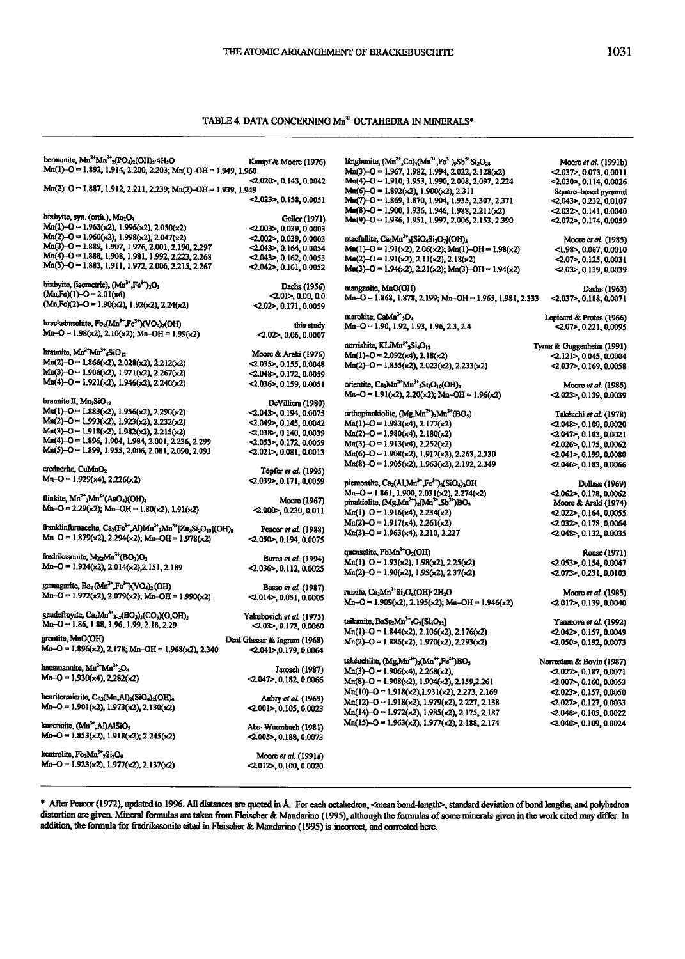## TABLE 4. DATA CONCERNING Mn<sup>3+</sup> OCTAHEDRA IN MINERALS\*

| bermanite, Mn <sup>2+</sup> Mn <sup>3+</sup> <sub>2</sub> (PO <sub>4</sub> ) <sub>2</sub> (OH) <sub>2</sub> -4H <sub>2</sub> O<br>Mn(1)-O = 1.892, 1.914, 2.200, 2.203; Mn(1)-OH = 1.949, 1.960 | Kampf & Moore (1976)                                      | långbanite, (Mn <sup>2+</sup> ,Ca) <sub>4</sub> (Mn <sup>3+</sup> ,Fe <sup>3+</sup> ) <sub>2</sub> Sb <sup>5+</sup> Si <sub>2</sub> O <sub>24</sub><br>Mn(3)-O = 1.967, 1.982, 1.994, 2.022, 2.128(x2) | Moore <i>et al.</i> (1991b)<br>$-2.037$ , 0.073, 0.0011 |
|-------------------------------------------------------------------------------------------------------------------------------------------------------------------------------------------------|-----------------------------------------------------------|--------------------------------------------------------------------------------------------------------------------------------------------------------------------------------------------------------|---------------------------------------------------------|
| Mn(2)-O = 1.887, 1.912, 2.211, 2.239; Mn(2)-OH = 1.939, 1.949                                                                                                                                   | $<$ 2.020 $>$ , 0.143, 0.0042<br>$-2.023$ , 0.158, 0.0051 | Mn(4)-O = 1.910, 1.953, 1.990, 2.008, 2.097, 2.224<br>$Mn(6)-0 = 1.892(x2), 1.900(x2), 2.311$                                                                                                          | $< 2.030$ , 0.114, 0.0026<br>Square-based pyramid       |
|                                                                                                                                                                                                 |                                                           | Mn(7)-O = 1.869, 1.870, 1.904, 1.935, 2.307, 2.371<br>$Mn(8)-O = 1.900, 1.936, 1.946, 1.988, 2.211(x2)$                                                                                                | <2,043>, 0.232, 0.0107                                  |
| bixbyite, syn. (orth.), Mn <sub>2</sub> O <sub>3</sub>                                                                                                                                          | Geller (1971)                                             | Mn(9)-O = 1.936, 1.951, 1.997, 2.006, 2.153, 2.390                                                                                                                                                     | $<$ 2.032>, 0.141, 0.0040                               |
| $Mn(1)-O = 1.963(x2)$ , 1.996(x2), 2.050(x2)                                                                                                                                                    | $< 2.003$ , 0.039, 0.0003                                 |                                                                                                                                                                                                        | $\ll 0.072$ , 0.174, 0.0059                             |
| Mn(2)-O = 1.960(x2), 1.998(x2), 2.047(x2)                                                                                                                                                       | $<$ 0.002>, 0.039, 0.0003                                 | macfallite, Ca <sub>2</sub> Mn <sup>3+</sup> <sub>3</sub> [SiO <sub>4</sub> Si <sub>2</sub> O <sub>7</sub> ](OH) <sub>3</sub>                                                                          |                                                         |
| Mn(3)-O = 1.889, 1.907, 1.976, 2.001, 2.190, 2.297                                                                                                                                              | $< 2.043$ , 0.164, 0.0054                                 |                                                                                                                                                                                                        | Moore et al. (1985)                                     |
| Mn(4)-O = 1.888, 1.908, 1.981, 1.992, 2.223, 2.268                                                                                                                                              |                                                           | $Mn(1)-O = 1.91(x2), 2.06(x2); Mn(1)-OH = 1.98(x2)$                                                                                                                                                    | <1.98>, 0.067, 0.0010                                   |
| Mn(5)-O = 1.883, 1.911, 1.972, 2.006, 2.215, 2.267                                                                                                                                              | $-2.043$ , 0.162, 0.0053<br>$\ll 0.042$ , 0.161, 0.0052   | $Mn(2)-O = 1.91(x2), 2.11(x2), 2.18(x2)$<br>Mn(3)-O = 1.94(x2), 2.21(x2); Mn(3)-OH = 1.94(x2)                                                                                                          | $<$ 0.7>, 0.125, 0.0031<br><2.03>, 0.139, 0.0039        |
|                                                                                                                                                                                                 |                                                           |                                                                                                                                                                                                        |                                                         |
| bixbyite, (isometric), (Mn <sup>3+</sup> , Fe <sup>3+</sup> ) <sub>2</sub> O <sub>3</sub>                                                                                                       | Dachs (1956)                                              | manganite, MnO(OH)                                                                                                                                                                                     | Dachs (1963)                                            |
| $(Mn_Fe)(1)-O = 2.01(x6)$                                                                                                                                                                       | $-2.01$ >, 0,00, 0,0                                      | Mn-O = 1.868, 1.878, 2.199; Mn-OH = 1.965, 1.981, 2.333                                                                                                                                                | $-2.037$ , 0.188, 0.0071                                |
| $(Mn.Fo)(2)-O = 1.90(x2), 1.92(x2), 2.24(x2)$                                                                                                                                                   | $< 2.02$ , 0.171, 0.0059                                  |                                                                                                                                                                                                        |                                                         |
|                                                                                                                                                                                                 |                                                           | marokite, CaMn <sup>3+</sup> <sub>2</sub> O <sub>4</sub>                                                                                                                                               | Lepicard & Protas (1966)                                |
| brackebuschite, Pb <sub>2</sub> (Mn <sup>3+</sup> ,Fe <sup>3+</sup> )(VO <sub>4</sub> ) <sub>2</sub> (OH)                                                                                       | this study                                                | Mn-O = 1.90, 1.92, 1.93, 1.96, 2.3, 2.4                                                                                                                                                                | $<$ 0.07>, 0.221, 0.0095                                |
| Mn-O = 1.98(x2), 2.10(x2); Mn-OH = 1.99(x2)                                                                                                                                                     | $-2.02$ , 0.06, 0.0007                                    |                                                                                                                                                                                                        |                                                         |
|                                                                                                                                                                                                 |                                                           | norrishite, KLiMn <sup>3+</sup> 2Si4O <sub>12</sub>                                                                                                                                                    | Tyrna & Guggenheim (1991)                               |
| braunite, Mn <sup>2+</sup> Mn <sup>3+</sup> <sub>6</sub> SiO <sub>12</sub>                                                                                                                      | Moore & Araki (1976)                                      | $Mn(1)-O = 2.092(x4), 2.18(x2)$                                                                                                                                                                        | $-2.121$ , 0.045, 0.0004                                |
| Mn(2)-O = 1.866(x2), 2.028(x2), 2.212(x2)                                                                                                                                                       | $<$ 0.035>, 0.155, 0.0048                                 | Mn(2)-O = 1.855(x2), 2.023(x2), 2.233(x2)                                                                                                                                                              | $<$ 2.037>, 0.169, 0.0058                               |
| $Mn(3)-O = 1.906(x2)$ , 1.971(x2), 2.267(x2)                                                                                                                                                    | $<$ 0.048 $>$ , 0.172, 0.0059                             |                                                                                                                                                                                                        |                                                         |
| $Mn(4)-O = 1.921(x2)$ , 1.946(x2), 2.240(x2)                                                                                                                                                    | $-2.036$ , 0.159, 0.0051                                  | orientite, Ca <sub>2</sub> Mn <sup>2+</sup> Mn <sup>3+</sup> <sub>2</sub> Si <sub>3</sub> O <sub>10</sub> (OH) <sub>4</sub>                                                                            | Moore et al. (1985)                                     |
|                                                                                                                                                                                                 |                                                           | Mn-O = 1.91(x2), 2.20(x2); Mn-OH = 1.96(x2)                                                                                                                                                            | $-2.023$ , 0.139, 0.0039                                |
| braunite II, Mn <sub>7</sub> SiO <sub>12</sub>                                                                                                                                                  | DeVilliers (1980)                                         |                                                                                                                                                                                                        |                                                         |
| $Mn(1)-O = 1.883(x2), 1.956(x2), 2.290(x2)$                                                                                                                                                     | $-2.043$ , 0.194, 0.0075                                  | orthopinakiolite, (Mg,Mn <sup>2+</sup> ) <sub>2</sub> Mn <sup>3+</sup> (BO <sub>3</sub> )                                                                                                              |                                                         |
| Mn(2)-O = 1.993(x2), 1.923(x2), 2.232(x2)                                                                                                                                                       | $<$ 2.049>, 0.145, 0.0042                                 |                                                                                                                                                                                                        | Takéuchi et al. (1978)                                  |
| $Mn(3)-O = 1.918(x2), 1.982(x2), 2.215(x2)$                                                                                                                                                     |                                                           | $Min(1)-O = 1.983(x4), 2.177(x2)$                                                                                                                                                                      | $-2.048$ , 0.100, 0.0020                                |
| $Mn(4)-O = 1.896, 1.904, 1.984, 2.001, 2.236, 2.299$                                                                                                                                            | $<$ 0.038 $>$ , 0.140, 0.0039                             | $Mn(2)-O = 1.980(x4), 2.180(x2)$                                                                                                                                                                       | $< 2.047$ , 0.103, 0.0021                               |
| $Mn(5)-O = 1.899, 1.955, 2.006, 2.081, 2.090, 2.093$                                                                                                                                            | <b>&lt;2.053&gt;, 0.172, 0.0059</b>                       | $Mn(3)-O = 1.913(x4), 2.252(x2)$                                                                                                                                                                       | $-2.026$ , 0.175, 0.0062                                |
|                                                                                                                                                                                                 | $<$ 0.021>, 0.081, 0.0013                                 | $Mn(6)-O = 1.908(x2), 1.917(x2), 2.263, 2.330$                                                                                                                                                         | $<$ 2.041>, 0.199, 0.0080                               |
| crednerite, CuMnO <sub>2</sub>                                                                                                                                                                  |                                                           | Mn(8)-O = 1.905(x2), 1.963(x2), 2.192, 2.349                                                                                                                                                           | $<$ 2.046>, 0.183, 0.0066                               |
|                                                                                                                                                                                                 | Töpfer et al. (1995)                                      |                                                                                                                                                                                                        |                                                         |
| $Mn-O = 1.929(x4), 2.226(x2)$                                                                                                                                                                   | $2.039$ , 0.171, 0.0059                                   | piemontite, Ca <sub>2</sub> (ALMn <sup>3+</sup> ,Fe <sup>3+</sup> ) <sub>3</sub> (SiO <sub>4</sub> ) <sub>3</sub> OH                                                                                   | Dollase (1969)                                          |
| flinkite, Mn <sup>2+</sup> <sub>2</sub> Mn <sup>3+</sup> (AsO <sub>4</sub> )(OH) <sub>4</sub>                                                                                                   |                                                           | Mn-O = 1.861, 1.900, 2.031(x2), 2.274(x2)                                                                                                                                                              | $< 2.062$ , 0.178, 0.0062                               |
|                                                                                                                                                                                                 | Moore (1967)                                              | pinakiolite, (Mg,Mn <sup>2+</sup> ) <sub>2</sub> (Mn <sup>3+</sup> ,Sb <sup>3+</sup> )BO <sub>5</sub>                                                                                                  | Moore & Araki (1974)                                    |
| Mn-O = 2.29(x2); Mn-OH = 1.80(x2), 1.91(x2)                                                                                                                                                     | $< 2.000$ , 0.230, 0.011                                  | $Mn(1)-O = 1.916(x4), 2.234(x2)$                                                                                                                                                                       | $< 2.022$ , 0.164, 0.0055                               |
|                                                                                                                                                                                                 |                                                           | $Mn(2) - O = 1.917(x4), 2.261(x2)$                                                                                                                                                                     | $-2.032$ , 0.178, 0.0064                                |
| franklinfurnaceite, Ca <sub>2</sub> (Fe <sup>3+</sup> ,Al)Mn <sup>2+</sup> <sub>3</sub> Mn <sup>3+</sup> JZn <sub>2</sub> Si <sub>2</sub> O <sub>10</sub> ](OH) <sub>8</sub>                    | Peacor et al. (1988)                                      | $Mn(3)-O = 1.963(x4), 2.210, 2.227$                                                                                                                                                                    | $<$ 0.048 $>$ , 0.132, 0.0035                           |
| Mn-O = 1.879(x2), 2.294(x2); Mn-OH = 1.978(x2)                                                                                                                                                  | $<$ 0.050 $>$ , 0.194, 0.0075                             |                                                                                                                                                                                                        |                                                         |
|                                                                                                                                                                                                 |                                                           | quenselite, PbMn <sup>3+</sup> O <sub>2</sub> (OH)                                                                                                                                                     | Rouse (1971)                                            |
| fredrikssonite, Mg <sub>2</sub> Mn <sup>3+</sup> (BO <sub>3</sub> )O <sub>3</sub>                                                                                                               | Burns et al. (1994)                                       | $Mn(1)-O = 1.93(x2), 1.98(x2), 2.25(x2)$                                                                                                                                                               | $-2.053$ , 0.154, 0.0047                                |
| Mn-O = 1.924(x2), 2.014(x2), 2.151, 2.189                                                                                                                                                       | $-2.036$ , 0.112, 0.0025                                  | $Mn(2)-O = 1.90(x2)$ , 1.95(x2), 2.37(x2)                                                                                                                                                              | $-2.073$ , 0.231, 0.0103                                |
|                                                                                                                                                                                                 |                                                           |                                                                                                                                                                                                        |                                                         |
| gamagarite, Ba <sub>2</sub> (Mn <sup>3+</sup> ,Fe <sup>3+</sup> )(VO <sub>4</sub> ) <sub>2</sub> (OH)                                                                                           | Basso et al. (1987)                                       | ruizite, Ca <sub>2</sub> Mn <sup>3+</sup> Si <sub>2</sub> O <sub>6</sub> (OH) 2H <sub>2</sub> O                                                                                                        |                                                         |
| Mn-O = 1.972(x2), 2.079(x2); Mn-OH = 1.990(x2)                                                                                                                                                  | $2.014$ , 0.051, 0.0005                                   |                                                                                                                                                                                                        | Moore et al. (1985)                                     |
|                                                                                                                                                                                                 |                                                           | Mn-O = 1.909(x2), 2.195(x2); Mn-OH = 1.946(x2)                                                                                                                                                         | $<$ 2.017>, 0.139, 0.0040                               |
| gaudefroyite, Ca.Mn <sup>3+</sup> 3-x(BO <sub>3</sub> )3(CO <sub>3</sub> )(O,OH) <sub>3</sub>                                                                                                   | Yakubovich et al. (1975)                                  |                                                                                                                                                                                                        |                                                         |
| Mn-O = 1.86, 1.88, 1.96, 1.99, 2.18, 2.29                                                                                                                                                       | $<$ 0.03 $>$ , 0.172, 0.0060                              | taikanite, BaSr <sub>2</sub> Mn <sup>3+</sup> <sub>2</sub> O <sub>2</sub> [Si <sub>4</sub> O <sub>12</sub> ]                                                                                           | Yamnova et al. (1992)                                   |
| groutite, MnO(OH)                                                                                                                                                                               |                                                           | $Mn(1)-O = 1.844(x2), 2.106(x2), 2.176(x2)$                                                                                                                                                            | $-2.042$ , 0.157, 0.0049                                |
|                                                                                                                                                                                                 | Dent Glasser & Ingram (1968)                              | $Mn(2)-O = 1.886(x2), 1.970(x2), 2.293(x2)$                                                                                                                                                            | $< 2.050$ , 0.192, 0.0073                               |
| Mn-O = 1.896(x2), 2.178; Mn-OH = 1.968(x2), 2.340                                                                                                                                               | $< 2.041$ >,0.179, 0.0064                                 |                                                                                                                                                                                                        |                                                         |
| hausmannite, Mn <sup>2+</sup> Mn <sup>3+</sup> <sub>2</sub> O <sub>4</sub>                                                                                                                      |                                                           | takeuchiite, (Mg,Mn <sup>2+</sup> ) <sub>2</sub> (Mn <sup>3+</sup> ,Fe <sup>3+</sup> )BO <sub>5</sub>                                                                                                  | Norrestam & Bovin (1987)                                |
|                                                                                                                                                                                                 | Jarosch (1987)                                            | $Mn(3)-O = 1.906(x4), 2.268(x2)$                                                                                                                                                                       | $-2.027$ , 0.187, 0.0071                                |
| Mn-O = 1.930(x4), 2.282(x2)                                                                                                                                                                     | $-2.047$ , 0.182, 0.0066                                  | $Mn(8)-O = 1.908(x2), 1.904(x2), 2.159, 2.261$                                                                                                                                                         | $-2.007$ , 0.160, 0.0053                                |
|                                                                                                                                                                                                 |                                                           | $Mn(10)-O = 1.918(x2), 1.931(x2), 2.273, 2.169$                                                                                                                                                        | $<$ 0.023>, 0.157, 0.0050                               |
| henritermierite, Ca3(Mn,Al)2(SiO4)2(OH)4                                                                                                                                                        | Aubry et al. (1969)                                       | $Mn(12)-O = 1.918(x2), 1.979(x2), 2.227, 2.138$                                                                                                                                                        | $<$ 0.027>, 0.127, 0.0033                               |
| Mn-O = 1.901(x2), 1.973(x2), 2.130(x2)                                                                                                                                                          | $< 2.001$ , 0.105, 0.0023                                 | $Mn(14)-O = 1.972(x2), 1.985(x2), 2.175, 2.187$                                                                                                                                                        | $-2.046$ , 0.105, 0.0022                                |
|                                                                                                                                                                                                 |                                                           | $Mn(15)-O = 1.963(x2)$ , 1.977(x2), 2.188, 2.174                                                                                                                                                       | $< 2.040$ , 0.109, 0.0024                               |
| kanonaite, (Mn <sup>3+</sup> ,Al)AlSiO <sub>5</sub>                                                                                                                                             | Abs-Wurmbach (1981)                                       |                                                                                                                                                                                                        |                                                         |
| Mn-O = 1.853(x2), 1.918(x2); 2.245(x2)                                                                                                                                                          | $< 2.005$ , 0.188, 0.0073                                 |                                                                                                                                                                                                        |                                                         |
|                                                                                                                                                                                                 |                                                           |                                                                                                                                                                                                        |                                                         |
| kentrolite, Pb <sub>2</sub> Mn <sup>3+</sup> 2Si <sub>2</sub> O <sub>9</sub>                                                                                                                    | Moore et al. (1991a)                                      |                                                                                                                                                                                                        |                                                         |
| Mn-O = 1.923(x2), 1.977(x2), 2.137(x2)                                                                                                                                                          | $< 2.012$ , 0.100, 0.0020                                 |                                                                                                                                                                                                        |                                                         |
|                                                                                                                                                                                                 |                                                           |                                                                                                                                                                                                        |                                                         |

\* After Peacor (1972), updated to 1996. All distances are quoted in Å. For each octahedron, <mean bond-length>, standard deviation of bond lengths, and polyhedron distortion are given. Mineral formulas are taken from Fleis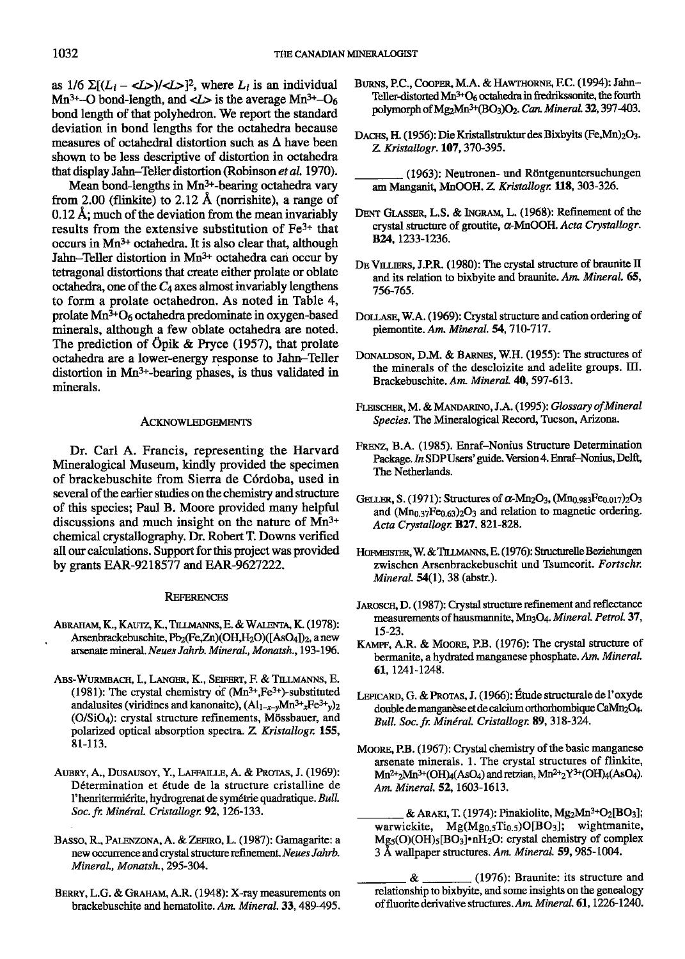as  $1/6 \sum (L_i - \langle L \rangle)/\langle L \rangle^2$ , where  $L_i$  is an individual Mn<sup>3+</sup>-O bond-length, and  $\langle L \rangle$  is the average Mn<sup>3+</sup>-O<sub>6</sub> bond length of that polyhedron. We report the standard deviation in bond lengths for the octahedra because measures of octahedral distortion such as  $\Delta$  have been shown to be less descriptive of distortion in octahedra that display Jahn-Teller distortion (Robinson et al. 1970).

Mean bond-lengths in Mn3+-bearing octahedra vary from 2.00 (flinkite) to 2.12 Å (norrishite), a range of  $0.12$  Å; much of the deviation from the mean invariably results from the extensive substitution of  $Fe<sup>3+</sup>$  that occurs in Mn3+ octahedra. It is also clear that, although Jahn-Teller distortion in Mn<sup>3+</sup> octahedra can occur by tetragonal distortions that create either prolate or oblate octahedra, one of the  $C_4$  axes almost invariably lengthens to form a prolate octahedron. As noted in Table 4, prolate  $Mn^{3+}O_6$  octahedra predominate in oxygen-based minerals, although a few oblate octahedra are noted. The prediction of Öpik & Pryce (1957), that prolate octahedra are a lower-energy response to Jahn-Teller distortion in Mn3+-bearing phases, is thus validated in minerals.

#### ACKNOWLEDGEMENTS

Dr. Carl A. Francis, representing the Harvard Mineralogical Museum, kindly provided the specimen of brackebuschite from Sierra de C6rdoba, used in several of the earlier studies on the chemistry and structure of this species; Paul B. Moore provided many helpful discussions and much insight on the nature of Mn3\* chemical crystallogaphy. Dr. Robert T. Downs verified all our calculations. Support for this project was provided by grants EAR-9218577 and EAR-9627222.

### **REFERENCES**

- ABRAHAM, K., KAUTZ, K., TILLMANNS, E. & WALENTA, K. (1978): Arsenbrackebuschite,  $Pb_2$ (Fe,Zn)(OH,H<sub>2</sub>O)([AsO<sub>4</sub>])<sub>2</sub>, a new arsenate mineral. Neues Jahrb. Mineral., Monatsh., 193-196.
- Abs-Wurmbach, I., Langer, K., Seifert, F. & Tillmanns, E. (1981): The crystal chemistry of  $(Mn^{3+},Fe^{3+})$ -substituted andalusites (viridines and kanonaite),  $(Al_{1-x-y}Mn^{3+}xFe^{3+}y)$ <sub>2</sub> (O/SiO<sub>4</sub>): crystal structure refinements, Mössbauer, and polarized optical absorption spectra. Z. Kristallogr. 155, 8l-l 13.
- AUBRY, A., DUSAUSOY, Y., LAFFAILLE, A. & PROTAS, J. (1969): D6termination et 6tude de la structure cristalline de l'henritermiérite, hydrogrenat de symétrie quadratique. Bull. Soc. fr. Minéral. Cristallogr. 92, 126-133.
- BASSO, R., PALENZONA, A. & ZEFIRO, L. (1987): Gamagarite: a new occurrence and crystal structure refinement. Neues Jahrb. Mineral., Monatsh., 295-304.
- BERRY, L.G. & GRAHAM, A.R. (1948): X-ray measurements on brackebuschite and hematolite. Am. Mineral. 33, 489-495.
- BURNS, P.C., COOPER, M.A. & HAWTHORNE, F.C. (1994): Jahn-Teller-distorted Mn<sup>3+</sup>O<sub>6</sub> octahedra in fredrikssonite, the fourth polymorph of  $Mg_2Mn^{3+}(BO_3)O_2$ . Can. Mineral. 32, 397-403,
- DACHS, H. (1956): Die Kristallstruktur des Bixbyits (Fe,Mn)<sub>2</sub>O<sub>3</sub>. Z. Kristallogr. 107, 370-395.
	- (1963): Neutronen- und Röntgenuntersuchungen am Manganit, MnOOH. Z. Kristallogr. 118, 303-326.
- DENT GLASSER, L.S. & INGRAM, L. (1968): Refinement of the crystal structure of groutite,  $\alpha$ -MnOOH. Acta Crystallogr. B<sub>24</sub>, 1233-1236.
- DE VILLIERS, J.P.R. (1980): The crystal structure of braunite II and its relation to bixbyite and braunite. Am. Mineral. 65, 756-765.
- DOLLASE, W.A. (1969): Crystal structure and cation ordering of piemontite. Am. Mineral. 54, 710-717.
- DONALDSON, D.M. & BARNES, W.H. (1955): The structures of the minerals of the descloizite and adelite groups. III. Brackebuschite. Am. Mineral. 40, 597-613.
- FLEISCHER, M. & MANDARINO, J.A. (1995): Glossary of Mineral Species. The Mineralogical Record, Tucson, Arizona.
- FRENZ, B.A. (1985). Enraf-Nonius Structure Determination Package. In SDP Users' guide. Version 4. Enraf-Nonius, Delft, The Netherlands.
- GELLER, S. (1971): Structures of  $\alpha$ -Mn<sub>2</sub>O<sub>3</sub>, (Mn<sub>0.983</sub>Fe<sub>0.017</sub>)<sub>2</sub>O<sub>3</sub> and  $(Mn_{0.37}Fe<sub>0.63</sub>)<sub>2</sub>O<sub>3</sub>$  and relation to magnetic ordering. Acta Crystallogr. B27, 821-828.
- HOFMEISTER, W. & TILLMANNS, E. (1976): Structurelle Beziehungen zwischen Arsenbrackebuschit und Tsumcorit. Fortschr. Mineral. 54(1), 38 (abstr.).
- JAROSCH, D. (1987): Crystal structure refinement and reflectance measurements of hausmannite, Mn<sub>3</sub>O<sub>4</sub>, Mineral. Petrol. 37, t5-23.
- KAMPF, A.R. & MOORE, P.B. (1976): The crystal structure of bermanite, a hydrated manganese phosphate. Am. Mineral. 61, 1241-1248.
- LEPICARD, G. & PROTAS, J. (1966): Étude structurale de l'oxyde double de manganèse et de calcium orthorhombique CaMn<sub>2</sub>O<sub>4</sub>. Bull. Soc. fr. Minéral. Cristallogr. 89, 318-324.
- MOORE, P.B. (1967): Crystal chemistry of the basic manganese arsenate minerals, 1. The crystal structures of flinkite,  $Mn^{2+}2Mn^{3+}(\text{OH})_{4}(\text{AsO}_{4})$  and retzian,  $Mn^{2+}2Y^{3+}(\text{OH})_{4}(\text{AsO}_{4})$ . Am. Mineral. 52, 1603-1613.
	- & ARAKI, T. (1974): Pinakiolite,  $Mg_2Mn^{3+}O_2[BO_3];$ warwickite,  $Mg(Mg_{0.5}Ti_{0.5})O[BO_3]$ ; wightmanite, Mg<sub>5</sub>(O)(OH)<sub>5</sub>[BO<sub>3</sub>]·nH<sub>2</sub>O: crystal chemistry of complex 3 Å wallpaper structures. Am. Mineral. 59, 985-1004.
	- $\&$  (1976): Braunite: its structure and relationship to bixbyite, and some insights on the genealogy of fluorite derivative structures. Am. Mineral. 61, 1226-1240.